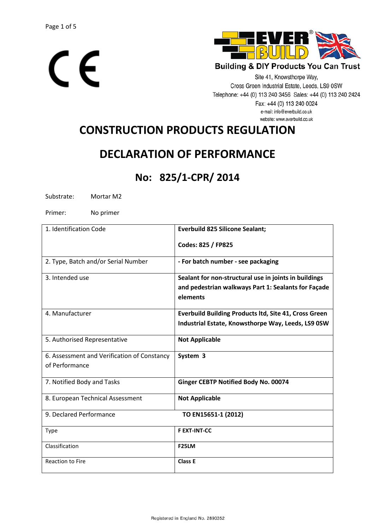



Site 41, Knowsthorpe Way, Cross Green Industrial Estate, Leeds, LS9 0SW Telephone: +44 (0) 113 240 3456 Sales: +44 (0) 113 240 2424 Fax: +44 (0) 113 240 0024 e-mail: info@everbuild.co.uk website: www.everbuild.co.uk

# **CONSTRUCTION PRODUCTS REGULATION**

## **DECLARATION OF PERFORMANCE**

### **No: 825/1-CPR/ 2014**

Substrate: Mortar M2

Primer: No primer

| 1. Identification Code                      | <b>Everbuild 825 Silicone Sealant;</b>                       |
|---------------------------------------------|--------------------------------------------------------------|
|                                             | Codes: 825 / FP825                                           |
| 2. Type, Batch and/or Serial Number         | - For batch number - see packaging                           |
| 3. Intended use                             | Sealant for non-structural use in joints in buildings        |
|                                             | and pedestrian walkways Part 1: Sealants for Façade          |
|                                             | elements                                                     |
| 4. Manufacturer                             | <b>Everbuild Building Products ltd, Site 41, Cross Green</b> |
|                                             | Industrial Estate, Knowsthorpe Way, Leeds, LS9 0SW           |
| 5. Authorised Representative                | <b>Not Applicable</b>                                        |
| 6. Assessment and Verification of Constancy | System 3                                                     |
| of Performance                              |                                                              |
| 7. Notified Body and Tasks                  | Ginger CEBTP Notified Body No. 00074                         |
| 8. European Technical Assessment            | <b>Not Applicable</b>                                        |
| 9. Declared Performance                     | TO EN15651-1 (2012)                                          |
| <b>Type</b>                                 | <b>F EXT-INT-CC</b>                                          |
| Classification                              | F <sub>25</sub> LM                                           |
| <b>Reaction to Fire</b>                     | Class E                                                      |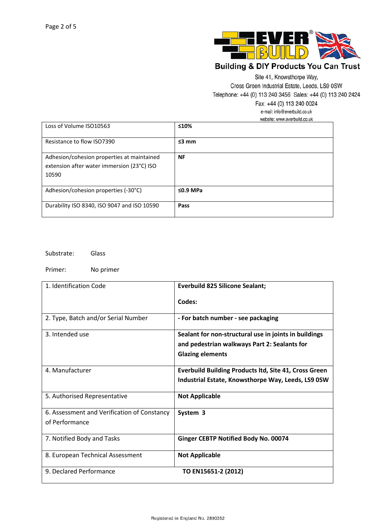

Site 41, Knowsthorpe Way,

Cross Green Industrial Estate, Leeds, LS9 0SW

Telephone: +44 (0) 113 240 3456 Sales: +44 (0) 113 240 2424

Fax: +44 (0) 113 240 0024

e-mail: info@everbuild.co.uk

website: www.everbuild.co.uk

| Loss of Volume ISO10563                                                                           | ≤10%           |
|---------------------------------------------------------------------------------------------------|----------------|
| Resistance to flow ISO7390                                                                        | $\leq$ 3 mm    |
| Adhesion/cohesion properties at maintained<br>extension after water immersion (23°C) ISO<br>10590 | <b>NF</b>      |
| Adhesion/cohesion properties (-30°C)                                                              | $\leq$ 0.9 MPa |
| Durability ISO 8340, ISO 9047 and ISO 10590                                                       | Pass           |

Substrate: Glass

Primer: No primer

| 1. Identification Code                      | <b>Everbuild 825 Silicone Sealant;</b>                       |
|---------------------------------------------|--------------------------------------------------------------|
|                                             | Codes:                                                       |
| 2. Type, Batch and/or Serial Number         | - For batch number - see packaging                           |
| 3. Intended use                             | Sealant for non-structural use in joints in buildings        |
|                                             | and pedestrian walkways Part 2: Sealants for                 |
|                                             | <b>Glazing elements</b>                                      |
| 4. Manufacturer                             | <b>Everbuild Building Products ltd, Site 41, Cross Green</b> |
|                                             | Industrial Estate, Knowsthorpe Way, Leeds, LS9 0SW           |
| 5. Authorised Representative                | <b>Not Applicable</b>                                        |
| 6. Assessment and Verification of Constancy | System 3                                                     |
| of Performance                              |                                                              |
| 7. Notified Body and Tasks                  | Ginger CEBTP Notified Body No. 00074                         |
| 8. European Technical Assessment            | <b>Not Applicable</b>                                        |
| 9. Declared Performance                     | TO EN15651-2 (2012)                                          |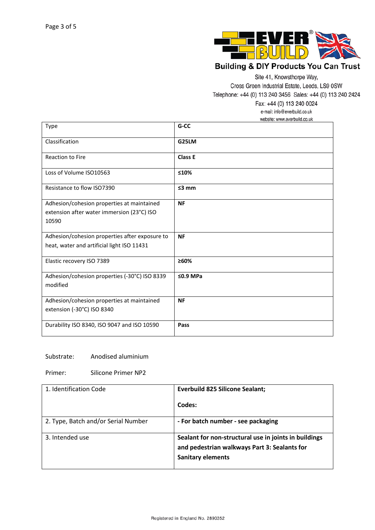

Site 41, Knowsthorpe Way,

Cross Green Industrial Estate, Leeds, LS9 0SW

Telephone: +44 (0) 113 240 3456 Sales: +44 (0) 113 240 2424

Fax: +44 (0) 113 240 0024

e-mail: info@everbuild.co.uk

website: www.everbuild.co.uk

| Type                                           | G-CC           |
|------------------------------------------------|----------------|
| Classification                                 | G25LM          |
| <b>Reaction to Fire</b>                        | <b>Class E</b> |
| Loss of Volume ISO10563                        | ≤10%           |
| Resistance to flow ISO7390                     | $≤3$ mm        |
| Adhesion/cohesion properties at maintained     | <b>NF</b>      |
| extension after water immersion (23°C) ISO     |                |
| 10590                                          |                |
| Adhesion/cohesion properties after exposure to | <b>NF</b>      |
| heat, water and artificial light ISO 11431     |                |
| Elastic recovery ISO 7389                      | ≥60%           |
| Adhesion/cohesion properties (-30°C) ISO 8339  | $\leq$ 0.9 MPa |
| modified                                       |                |
| Adhesion/cohesion properties at maintained     | <b>NF</b>      |
| extension (-30°C) ISO 8340                     |                |
| Durability ISO 8340, ISO 9047 and ISO 10590    | Pass           |

#### Substrate: Anodised aluminium

Primer: Silicone Primer NP2

| 1. Identification Code              | <b>Everbuild 825 Silicone Sealant;</b>                                                                                            |
|-------------------------------------|-----------------------------------------------------------------------------------------------------------------------------------|
|                                     | Codes:                                                                                                                            |
| 2. Type, Batch and/or Serial Number | - For batch number - see packaging                                                                                                |
| 3. Intended use                     | Sealant for non-structural use in joints in buildings<br>and pedestrian walkways Part 3: Sealants for<br><b>Sanitary elements</b> |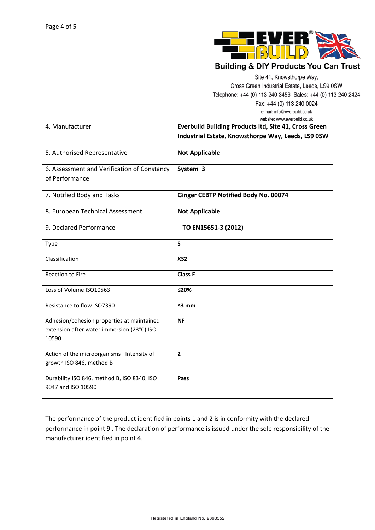

Site 41, Knowsthorpe Way,

Cross Green Industrial Estate, Leeds, LS9 0SW

Telephone: +44 (0) 113 240 3456 Sales: +44 (0) 113 240 2424

Fax: +44 (0) 113 240 0024 e-mail: info@everbuild.co.uk website: www.everbuild.co.uk

| 4. Manufacturer                                                                                   | <b>Everbuild Building Products ltd, Site 41, Cross Green</b><br>Industrial Estate, Knowsthorpe Way, Leeds, LS9 0SW |
|---------------------------------------------------------------------------------------------------|--------------------------------------------------------------------------------------------------------------------|
| 5. Authorised Representative                                                                      | <b>Not Applicable</b>                                                                                              |
| 6. Assessment and Verification of Constancy<br>of Performance                                     | System 3                                                                                                           |
| 7. Notified Body and Tasks                                                                        | Ginger CEBTP Notified Body No. 00074                                                                               |
| 8. European Technical Assessment                                                                  | <b>Not Applicable</b>                                                                                              |
| 9. Declared Performance                                                                           | TO EN15651-3 (2012)                                                                                                |
| Type                                                                                              | S                                                                                                                  |
| Classification                                                                                    | XS <sub>2</sub>                                                                                                    |
| <b>Reaction to Fire</b>                                                                           | <b>Class E</b>                                                                                                     |
| Loss of Volume ISO10563                                                                           | ≤20%                                                                                                               |
| Resistance to flow ISO7390                                                                        | $\leq$ 3 mm                                                                                                        |
| Adhesion/cohesion properties at maintained<br>extension after water immersion (23°C) ISO<br>10590 | <b>NF</b>                                                                                                          |
| Action of the microorganisms : Intensity of<br>growth ISO 846, method B                           | $\overline{2}$                                                                                                     |
| Durability ISO 846, method B, ISO 8340, ISO<br>9047 and ISO 10590                                 | Pass                                                                                                               |

The performance of the product identified in points 1 and 2 is in conformity with the declared performance in point 9 . The declaration of performance is issued under the sole responsibility of the manufacturer identified in point 4.